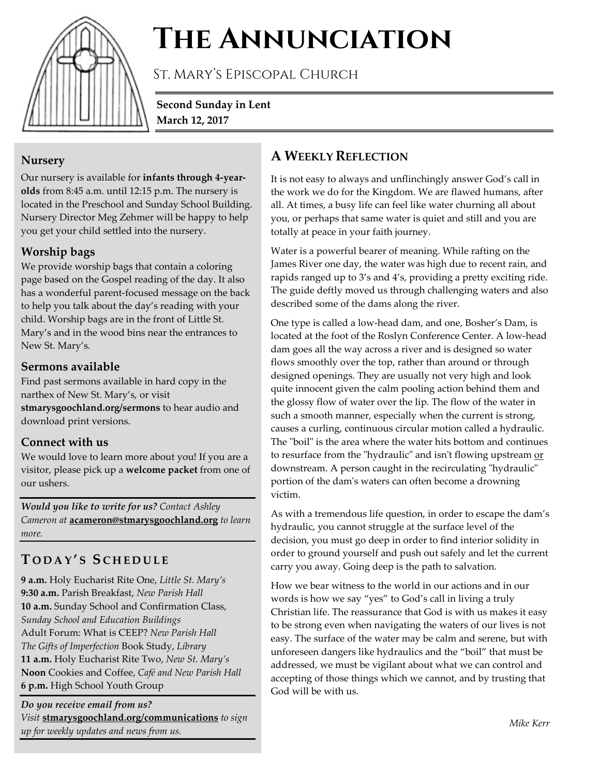

# **The Annunciation**

St. Mary's Episcopal Church

**Second Sunday in Lent March 12, 2017**

## **Nursery**

Our nursery is available for **infants through 4-yearolds** from 8:45 a.m. until 12:15 p.m. The nursery is located in the Preschool and Sunday School Building. Nursery Director Meg Zehmer will be happy to help you get your child settled into the nursery.

# **Worship bags**

We provide worship bags that contain a coloring page based on the Gospel reading of the day. It also has a wonderful parent-focused message on the back to help you talk about the day's reading with your child. Worship bags are in the front of Little St. Mary's and in the wood bins near the entrances to New St. Mary's.

# **Sermons available**

Find past sermons available in hard copy in the narthex of New St. Mary's, or visit **stmarysgoochland.org/sermons** to hear audio and download print versions.

# **Connect with us**

We would love to learn more about you! If you are a visitor, please pick up a **welcome packet** from one of our ushers.

*Would you like to write for us? Contact Ashley Cameron at* **acameron@stmarysgoochland.org** *to learn more.*

# **T ODAY ' S S CHEDULE**

**9 a.m.** Holy Eucharist Rite One, *Little St. Mary's* **9:30 a.m.** Parish Breakfast, *New Parish Hall* **10 a.m.** Sunday School and Confirmation Class, *Sunday School and Education Buildings* Adult Forum: What is CEEP? *New Parish Hall The Gifts of Imperfection* Book Study, *Library* **11 a.m.** Holy Eucharist Rite Two, *New St. Mary's* **Noon** Cookies and Coffee, *Café and New Parish Hall* **6 p.m.** High School Youth Group

*Do you receive email from us? Visit* **stmarysgoochland.org/communications** *to sign up for weekly updates and news from us.*

# **A WEEKLY REFLECTION**

It is not easy to always and unflinchingly answer God's call in the work we do for the Kingdom. We are flawed humans, after all. At times, a busy life can feel like water churning all about you, or perhaps that same water is quiet and still and you are totally at peace in your faith journey.

Water is a powerful bearer of meaning. While rafting on the James River one day, the water was high due to recent rain, and rapids ranged up to 3's and 4's, providing a pretty exciting ride. The guide deftly moved us through challenging waters and also described some of the dams along the river.

One type is called a low-head dam, and one, Bosher's Dam, is located at the foot of the Roslyn Conference Center. A low-head dam goes all the way across a river and is designed so water flows smoothly over the top, rather than around or through designed openings. They are usually not very high and look quite innocent given the calm pooling action behind them and the glossy flow of water over the lip. The flow of the water in such a smooth manner, especially when the current is strong, causes a curling, continuous circular motion called a hydraulic. The "boil" is the area where the water hits bottom and continues to resurface from the "hydraulic" and isn't flowing upstream or downstream. A person caught in the recirculating "hydraulic" portion of the dam's waters can often become a drowning victim.

As with a tremendous life question, in order to escape the dam's hydraulic, you cannot struggle at the surface level of the decision, you must go deep in order to find interior solidity in order to ground yourself and push out safely and let the current carry you away. Going deep is the path to salvation.

How we bear witness to the world in our actions and in our words is how we say "yes" to God's call in living a truly Christian life. The reassurance that God is with us makes it easy to be strong even when navigating the waters of our lives is not easy. The surface of the water may be calm and serene, but with unforeseen dangers like hydraulics and the "boil" that must be addressed, we must be vigilant about what we can control and accepting of those things which we cannot, and by trusting that God will be with us.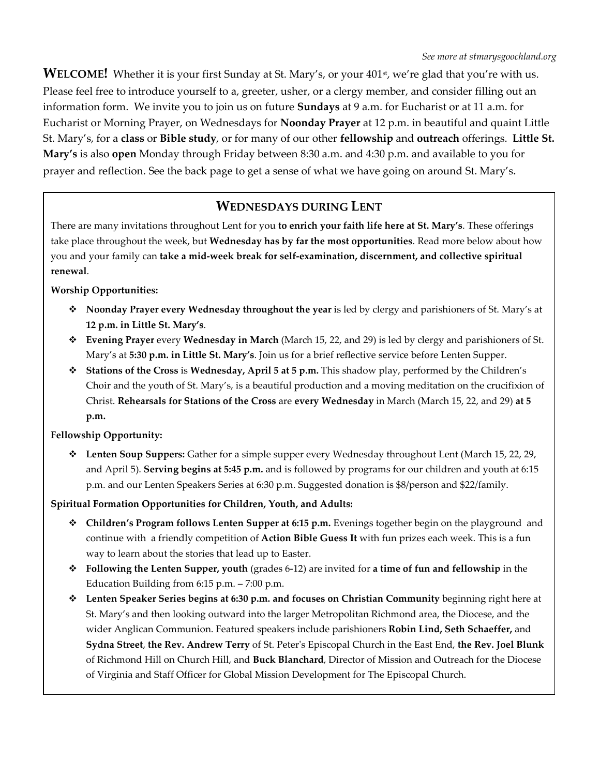**WELCOME!** Whether it is your first Sunday at St. Mary's, or your 401<sup>st</sup>, we're glad that you're with us. Please feel free to introduce yourself to a, greeter, usher, or a clergy member, and consider filling out an information form. We invite you to join us on future **Sundays** at 9 a.m. for Eucharist or at 11 a.m. for Eucharist or Morning Prayer, on Wednesdays for **Noonday Prayer** at 12 p.m. in beautiful and quaint Little St. Mary's, for a **class** or **Bible study**, or for many of our other **fellowship** and **outreach** offerings. **Little St. Mary's** is also **open** Monday through Friday between 8:30 a.m. and 4:30 p.m. and available to you for prayer and reflection. See the back page to get a sense of what we have going on around St. Mary's.

# **WEDNESDAYS DURING LENT**

There are many invitations throughout Lent for you **to enrich your faith life here at St. Mary's**. These offerings take place throughout the week, but **Wednesday has by far the most opportunities**. Read more below about how you and your family can **take a mid-week break for self-examination, discernment, and collective spiritual renewal**.

#### **Worship Opportunities:**

- **Noonday Prayer every Wednesday throughout the year** is led by clergy and parishioners of St. Mary's at **12 p.m. in Little St. Mary's**.
- **Evening Prayer** every **Wednesday in March** (March 15, 22, and 29) is led by clergy and parishioners of St. Mary's at **5:30 p.m. in Little St. Mary's**. Join us for a brief reflective service before Lenten Supper.
- **Stations of the Cross** is **Wednesday, April 5 at 5 p.m.** This shadow play, performed by the Children's Choir and the youth of St. Mary's, is a beautiful production and a moving meditation on the crucifixion of Christ. **Rehearsals for Stations of the Cross** are **every Wednesday** in March (March 15, 22, and 29) **at 5 p.m.**

#### **Fellowship Opportunity:**

 **Lenten Soup Suppers:** Gather for a simple supper every Wednesday throughout Lent (March 15, 22, 29, and April 5). **Serving begins at 5:45 p.m.** and is followed by programs for our children and youth at 6:15 p.m. and our Lenten Speakers Series at 6:30 p.m. Suggested donation is \$8/person and \$22/family.

**Spiritual Formation Opportunities for Children, Youth, and Adults:**

- **Children's Program follows Lenten Supper at 6:15 p.m.** Evenings together begin on the playground and continue with a friendly competition of **Action Bible Guess It** with fun prizes each week. This is a fun way to learn about the stories that lead up to Easter.
- **Following the Lenten Supper, youth** (grades 6-12) are invited for **a time of fun and fellowship** in the Education Building from 6:15 p.m. – 7:00 p.m.
- **Lenten Speaker Series begins at 6:30 p.m. and focuses on Christian Community** beginning right here at St. Mary's and then looking outward into the larger Metropolitan Richmond area, the Diocese, and the wider Anglican Communion. Featured speakers include parishioners **Robin Lind, Seth Schaeffer,** and **Sydna Street**, **the Rev. Andrew Terry** of St. Peter's Episcopal Church in the East End, **the Rev. Joel Blunk** of Richmond Hill on Church Hill, and **Buck Blanchard**, Director of Mission and Outreach for the Diocese of Virginia and Staff Officer for Global Mission Development for The Episcopal Church.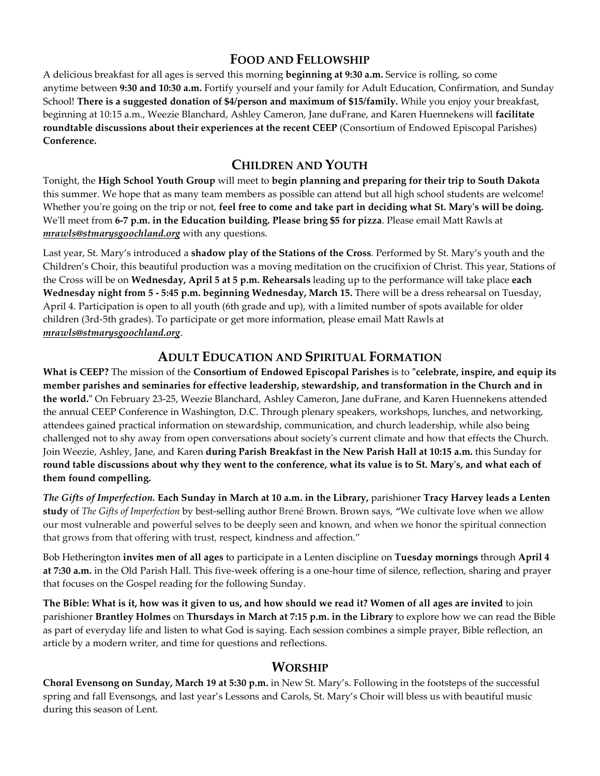## **FOOD AND FELLOWSHIP**

A delicious breakfast for all ages is served this morning **beginning at 9:30 a.m.** Service is rolling, so come anytime between **9:30 and 10:30 a.m.** Fortify yourself and your family for Adult Education, Confirmation, and Sunday School! **There is a suggested donation of \$4/person and maximum of \$15/family.** While you enjoy your breakfast, beginning at 10:15 a.m., Weezie Blanchard, Ashley Cameron, Jane duFrane, and Karen Huennekens will **facilitate roundtable discussions about their experiences at the recent CEEP** (Consortium of Endowed Episcopal Parishes) **Conference.**

### **CHILDREN AND YOUTH**

Tonight, the **High School Youth Group** will meet to **begin planning and preparing for their trip to South Dakota** this summer. We hope that as many team members as possible can attend but all high school students are welcome! Whether you're going on the trip or not, **feel free to come and take part in deciding what St. Mary's will be doing.** We'll meet from **6-7 p.m. in the Education building. Please bring \$5 for pizza**. Please email Matt Rawls at *mrawls@stmarysgoochland.org* with any questions.

Last year, St. Mary's introduced a **shadow play of the Stations of the Cross**. Performed by St. Mary's youth and the Children's Choir, this beautiful production was a moving meditation on the crucifixion of Christ. This year, Stations of the Cross will be on **Wednesday, April 5 at 5 p.m. Rehearsals** leading up to the performance will take place **each Wednesday night from 5 - 5:45 p.m. beginning Wednesday, March 15.** There will be a dress rehearsal on Tuesday, April 4. Participation is open to all youth (6th grade and up), with a limited number of spots available for older children (3rd-5th grades). To participate or get more information, please email Matt Rawls at *mrawls@stmarysgoochland.org*.

## **ADULT EDUCATION AND SPIRITUAL FORMATION**

**What is CEEP?** The mission of the **Consortium [of Endowed Episcopal Parishes](http://r20.rs6.net/tn.jsp?f=0018zhnbregl8kJvNCsj1ahchWeIPVH4WJt12SfEp1jFpt3hnQnSdTmVB8-_wcn3ad43scmnQA99RgnzN73v4_b39ktPdBBDd6oeryxvDqKd0mtBLbsLPtrTsq6AzlStphntJQxOycXHIEdbqGW6Qq_Kh1Bc6bwQJezd76nfgv0EnCXq78REARe1A==&c=p1tgne3qoKH53d97TtGFeaczWs5mV7Sqx8NVaD1xSR8twS9Dn__e-Q==&ch=RrBjzjfmQagoQNk3G2ByjejkVx2qWEuEU8DMBbPMB8MTW8NE6z5MEA==)** is to **"celebrate, inspire, and equip its member parishes and seminaries for effective leadership, stewardship, and transformation in the Church and in the world."** On February 23-25, Weezie Blanchard, Ashley Cameron, Jane duFrane, and Karen Huennekens attended the annual CEEP Conference in Washington, D.C. Through plenary speakers, workshops, lunches, and networking, attendees gained practical information on stewardship, communication, and church leadership, while also being challenged not to shy away from open conversations about society's current climate and how that effects the Church. Join Weezie, Ashley, Jane, and Karen **during Parish Breakfast in the New Parish Hall at 10:15 a.m.** this Sunday for **round table discussions about why they went to the conference, what its value is to St. Mary's, and what each of them found compelling.**

*The Gifts of Imperfection.* **Each Sunday in March at 10 a.m. in the Library,** parishioner **Tracy Harvey leads a Lenten study** of *The Gifts of Imperfection* by best-selling author Brené Brown. Brown says, *"*We cultivate love when we allow our most vulnerable and powerful selves to be deeply seen and known, and when we honor the spiritual connection that grows from that offering with trust, respect, kindness and affection."

Bob Hetherington **invites men of all ages** to participate in a Lenten discipline on **Tuesday mornings** through **April 4 at 7:30 a.m.** in the Old Parish Hall. This five-week offering is a one-hour time of silence, reflection, sharing and prayer that focuses on the Gospel reading for the following Sunday.

**The Bible: What is it, how was it given to us, and how should we read it? Women of all ages are invited** to join parishioner **Brantley Holmes** on **Thursdays in March at 7:15 p.m. in the Library** to explore how we can read the Bible as part of everyday life and listen to what God is saying. Each session combines a simple prayer, Bible reflection, an article by a modern writer, and time for questions and reflections.

#### **WORSHIP**

**Choral Evensong on Sunday, March 19 at 5:30 p.m.** in New St. Mary's. Following in the footsteps of the successful spring and fall Evensongs, and last year's Lessons and Carols, St. Mary's Choir will bless us with beautiful music during this season of Lent.